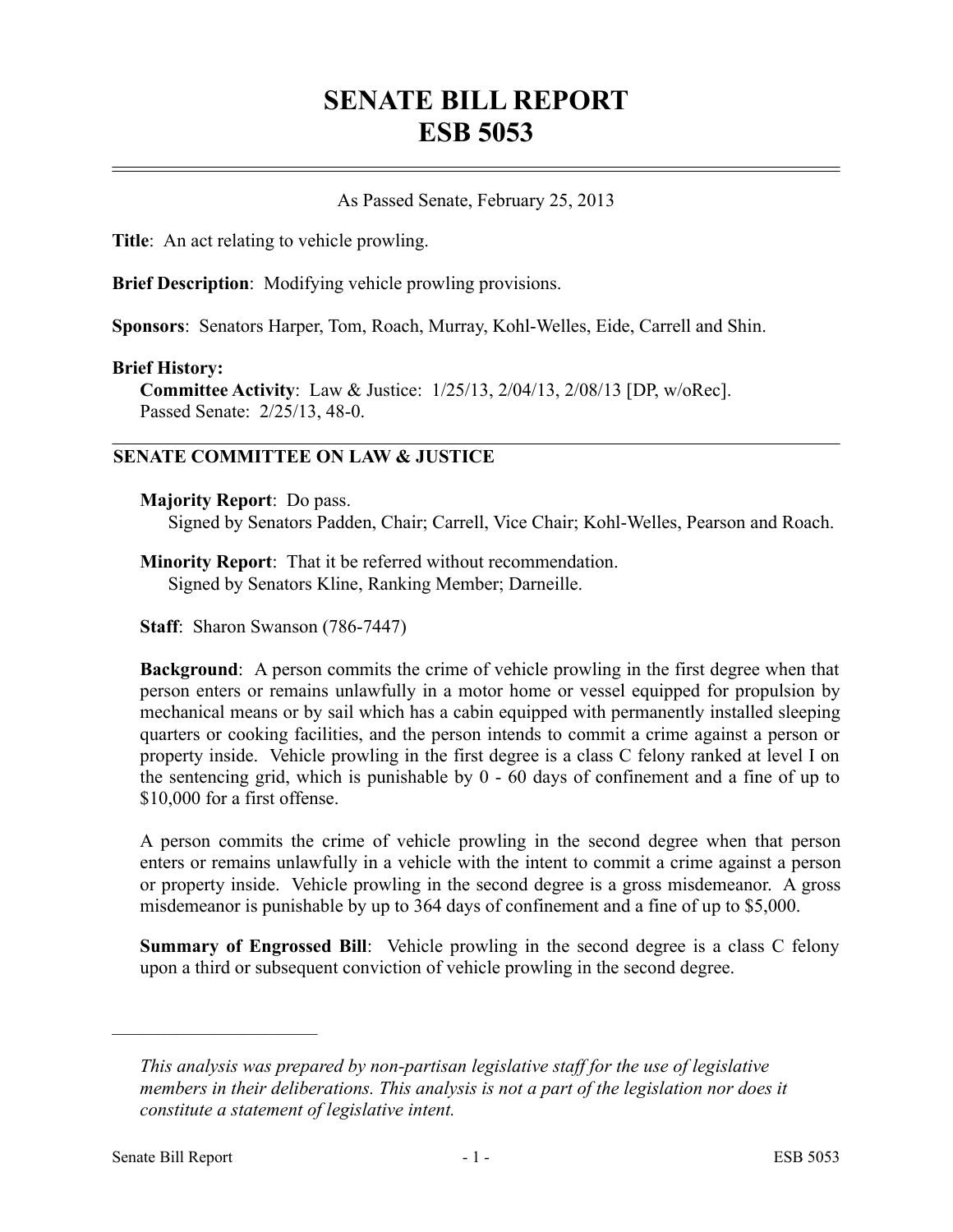# **SENATE BILL REPORT ESB 5053**

## As Passed Senate, February 25, 2013

**Title**: An act relating to vehicle prowling.

**Brief Description**: Modifying vehicle prowling provisions.

**Sponsors**: Senators Harper, Tom, Roach, Murray, Kohl-Welles, Eide, Carrell and Shin.

#### **Brief History:**

**Committee Activity**: Law & Justice: 1/25/13, 2/04/13, 2/08/13 [DP, w/oRec]. Passed Senate: 2/25/13, 48-0.

# **SENATE COMMITTEE ON LAW & JUSTICE**

#### **Majority Report**: Do pass.

Signed by Senators Padden, Chair; Carrell, Vice Chair; Kohl-Welles, Pearson and Roach.

**Minority Report**: That it be referred without recommendation. Signed by Senators Kline, Ranking Member; Darneille.

**Staff**: Sharon Swanson (786-7447)

**Background**: A person commits the crime of vehicle prowling in the first degree when that person enters or remains unlawfully in a motor home or vessel equipped for propulsion by mechanical means or by sail which has a cabin equipped with permanently installed sleeping quarters or cooking facilities, and the person intends to commit a crime against a person or property inside. Vehicle prowling in the first degree is a class C felony ranked at level I on the sentencing grid, which is punishable by 0 - 60 days of confinement and a fine of up to \$10,000 for a first offense.

A person commits the crime of vehicle prowling in the second degree when that person enters or remains unlawfully in a vehicle with the intent to commit a crime against a person or property inside. Vehicle prowling in the second degree is a gross misdemeanor. A gross misdemeanor is punishable by up to 364 days of confinement and a fine of up to \$5,000.

**Summary of Engrossed Bill**: Vehicle prowling in the second degree is a class C felony upon a third or subsequent conviction of vehicle prowling in the second degree.

––––––––––––––––––––––

*This analysis was prepared by non-partisan legislative staff for the use of legislative members in their deliberations. This analysis is not a part of the legislation nor does it constitute a statement of legislative intent.*